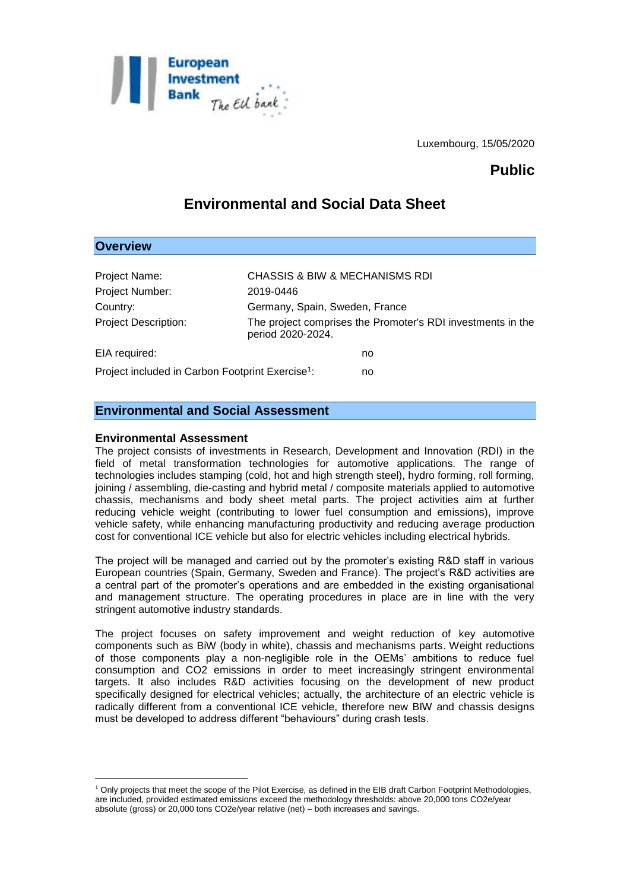

Luxembourg, 15/05/2020

## **Public**

# **Environmental and Social Data Sheet**

| <b>Overview</b>                                              |                                                                                  |
|--------------------------------------------------------------|----------------------------------------------------------------------------------|
|                                                              |                                                                                  |
| Project Name:                                                | <b>CHASSIS &amp; BIW &amp; MECHANISMS RDI</b>                                    |
| Project Number:                                              | 2019-0446                                                                        |
| Country:                                                     | Germany, Spain, Sweden, France                                                   |
| <b>Project Description:</b>                                  | The project comprises the Promoter's RDI investments in the<br>period 2020-2024. |
| EIA required:                                                | no                                                                               |
| Project included in Carbon Footprint Exercise <sup>1</sup> : | no                                                                               |

### **Environmental and Social Assessment**

#### **Environmental Assessment**

<u>.</u>

The project consists of investments in Research, Development and Innovation (RDI) in the field of metal transformation technologies for automotive applications. The range of technologies includes stamping (cold, hot and high strength steel), hydro forming, roll forming, joining / assembling, die-casting and hybrid metal / composite materials applied to automotive chassis, mechanisms and body sheet metal parts. The project activities aim at further reducing vehicle weight (contributing to lower fuel consumption and emissions), improve vehicle safety, while enhancing manufacturing productivity and reducing average production cost for conventional ICE vehicle but also for electric vehicles including electrical hybrids.

The project will be managed and carried out by the promoter's existing R&D staff in various European countries (Spain, Germany, Sweden and France). The project's R&D activities are a central part of the promoter's operations and are embedded in the existing organisational and management structure. The operating procedures in place are in line with the very stringent automotive industry standards.

The project focuses on safety improvement and weight reduction of key automotive components such as BiW (body in white), chassis and mechanisms parts. Weight reductions of those components play a non-negligible role in the OEMs' ambitions to reduce fuel consumption and CO2 emissions in order to meet increasingly stringent environmental targets. It also includes R&D activities focusing on the development of new product specifically designed for electrical vehicles; actually, the architecture of an electric vehicle is radically different from a conventional ICE vehicle, therefore new BIW and chassis designs must be developed to address different "behaviours" during crash tests.

<sup>1</sup> Only projects that meet the scope of the Pilot Exercise, as defined in the EIB draft Carbon Footprint Methodologies, are included, provided estimated emissions exceed the methodology thresholds: above 20,000 tons CO2e/year absolute (gross) or 20,000 tons CO2e/year relative (net) – both increases and savings.